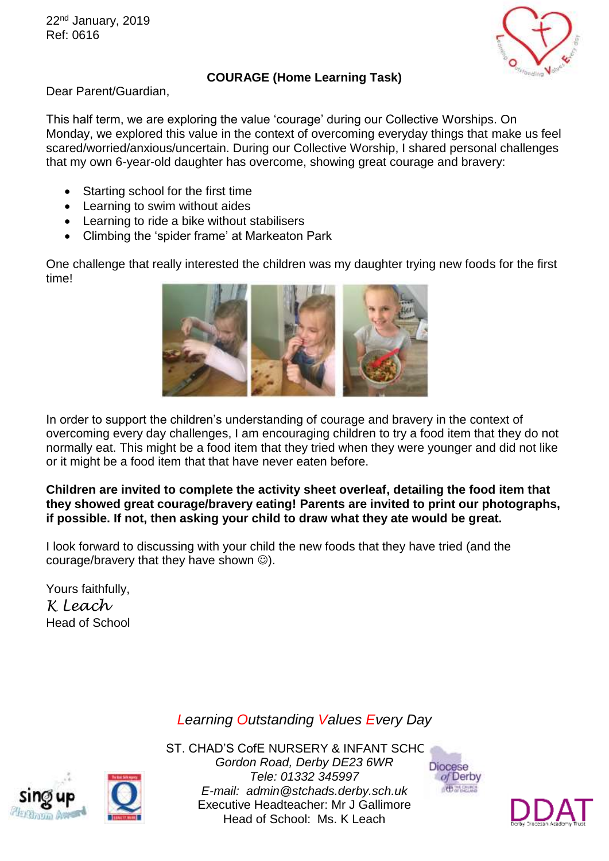22<sup>nd</sup> January, 2019 Ref: 0616



## **COURAGE (Home Learning Task)**

Dear Parent/Guardian,

This half term, we are exploring the value 'courage' during our Collective Worships. On Monday, we explored this value in the context of overcoming everyday things that make us feel scared/worried/anxious/uncertain. During our Collective Worship, I shared personal challenges that my own 6-year-old daughter has overcome, showing great courage and bravery:

- Starting school for the first time
- Learning to swim without aides
- Learning to ride a bike without stabilisers
- Climbing the 'spider frame' at Markeaton Park

One challenge that really interested the children was my daughter trying new foods for the first time!



In order to support the children's understanding of courage and bravery in the context of overcoming every day challenges, I am encouraging children to try a food item that they do not normally eat. This might be a food item that they tried when they were younger and did not like or it might be a food item that that have never eaten before.

## **Children are invited to complete the activity sheet overleaf, detailing the food item that they showed great courage/bravery eating! Parents are invited to print our photographs, if possible. If not, then asking your child to draw what they ate would be great.**

I look forward to discussing with your child the new foods that they have tried (and the courage/bravery that they have shown  $\circledcirc$ ).

Yours faithfully, *K Leach* Head of School

## *Learning Outstanding Values Every Day*



ST. CHAD'S CofE NURSERY & INFANT SCHC *Gordon Road, Derby DE23 6WR Tele: 01332 345997 E-mail: admin@stchads.derby.sch.uk* Executive Headteacher: Mr J Gallimore Head of School: Ms. K Leach